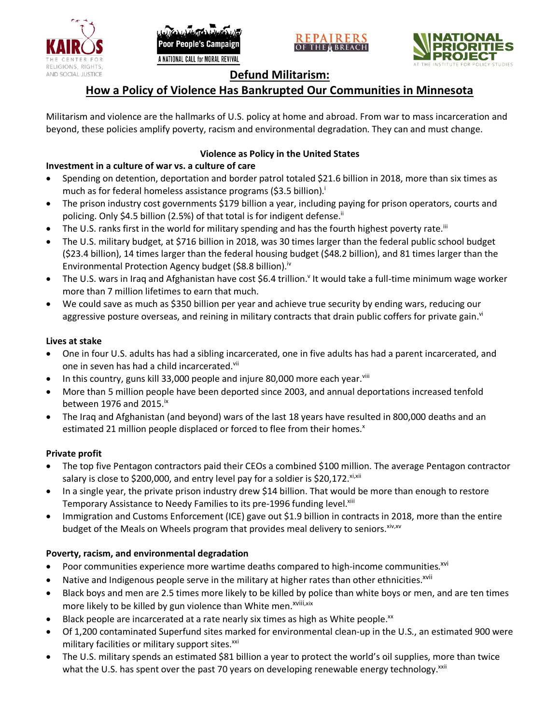





# **Defund Militarism:**

# **How a Policy of Violence Has Bankrupted Our Communities in Minnesota**

Militarism and violence are the hallmarks of U.S. policy at home and abroad. From war to mass incarceration and beyond, these policies amplify poverty, racism and environmental degradation. They can and must change.

# **Violence as Policy in the United States**

# **Investment in a culture of war vs. a culture of care**

- Spending on detention, deportation and border patrol totaled \$21.6 billion in 2018, more than six times as much as for federal homeless assistance programs (\$3.5 billion).<sup>i</sup>
- The prison industry cost governments \$179 billion a year, including paying for prison operators, courts and policing. Only \$4.5 billion (2.5%) of that total is for indigent defense.<sup>ii</sup>
- The U.S. ranks first in the world for military spending and has the fourth highest poverty rate.<sup>iii</sup>
- The U.S. military budget, at \$716 billion in 2018, was 30 times larger than the federal public school budget (\$23.4 billion), 14 times larger than the federal housing budget (\$48.2 billion), and 81 times larger than the Environmental Protection Agency budget (\$8.8 billion).<sup>iv</sup>
- The U.S. wars in Iraq and Afghanistan have cost \$6.4 trillion.<sup>v</sup> It would take a full-time minimum wage worker more than 7 million lifetimes to earn that much.
- We could save as much as \$350 billion per year and achieve true security by ending wars, reducing our aggressive posture overseas, and reining in military contracts that drain public coffers for private gain.<sup>vi</sup>

### **Lives at stake**

- One in four U.S. adults has had a sibling incarcerated, one in five adults has had a parent incarcerated, and one in seven has had a child incarcerated.vii
- In this country, guns kill 33,000 people and injure 80,000 more each year. $v_{\text{lin}}$
- More than 5 million people have been deported since 2003, and annual deportations increased tenfold between 1976 and 2015. $\mathrm{i}$ <sup>x</sup>
- The Iraq and Afghanistan (and beyond) wars of the last 18 years have resulted in 800,000 deaths and an estimated 21 million people displaced or forced to flee from their homes.<sup>x</sup>

## **Private profit**

- The top five Pentagon contractors paid their CEOs a combined \$100 million. The average Pentagon contractor salary is close to \$200,000, and entry level pay for a soldier is \$20,172. xi,xii
- In a single year, the private prison industry drew \$14 billion. That would be more than enough to restore Temporary Assistance to Needy Families to its pre-1996 funding level.<sup>xiii</sup>
- Immigration and Customs Enforcement (ICE) gave out \$1.9 billion in contracts in 2018, more than the entire budget of the Meals on Wheels program that provides meal delivery to seniors. Xiv, XV

## **Poverty, racism, and environmental degradation**

- Poor communities experience more wartime deaths compared to high-income communities.<sup>xvi</sup>
- Native and Indigenous people serve in the military at higher rates than other ethnicities.<sup>xvii</sup>
- Black boys and men are 2.5 times more likely to be killed by police than white boys or men, and are ten times more likely to be killed by gun violence than White men.<sup>xviii,xix</sup>
- Black people are incarcerated at a rate nearly six times as high as White people.<sup>xx</sup>
- Of 1,200 contaminated Superfund sites marked for environmental clean-up in the U.S., an estimated 900 were military facilities or military support sites.<sup>xxi</sup>
- The U.S. military spends an estimated \$81 billion a year to protect the world's oil supplies, more than twice what the U.S. has spent over the past 70 years on developing renewable energy technology.<sup>xxii</sup>